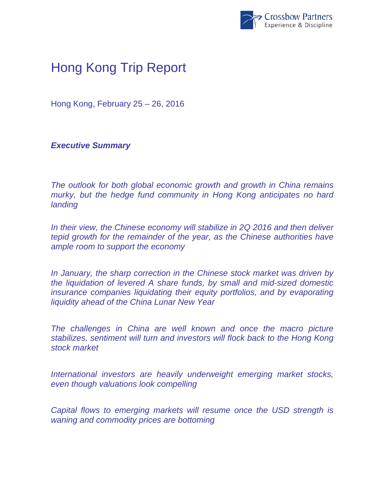

## Hong Kong Trip Report

Hong Kong, February 25 – 26, 2016

*Executive Summary* 

*The outlook for both global economic growth and growth in China remains murky, but the hedge fund community in Hong Kong anticipates no hard landing* 

*In their view, the Chinese economy will stabilize in 2Q 2016 and then deliver tepid growth for the remainder of the year, as the Chinese authorities have ample room to support the economy* 

*In January, the sharp correction in the Chinese stock market was driven by the liquidation of levered A share funds, by small and mid-sized domestic insurance companies liquidating their equity portfolios, and by evaporating liquidity ahead of the China Lunar New Year* 

The challenges in China are well known and once the macro picture *stabilizes, sentiment will turn and investors will flock back to the Hong Kong stock market* 

*International investors are heavily underweight emerging market stocks, even though valuations look compelling* 

*Capital flows to emerging markets will resume once the USD strength is waning and commodity prices are bottoming*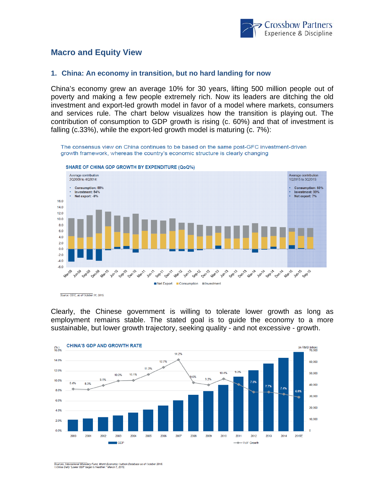

## **Macro and Equity View**

## **1. China: An economy in transition, but no hard landing for now**

China's economy grew an average 10% for 30 years, lifting 500 million people out of poverty and making a few people extremely rich. Now its leaders are ditching the old investment and export-led growth model in favor of a model where markets, consumers and services rule. The chart below visualizes how the transition is playing out. The contribution of consumption to GDP growth is rising (c. 60%) and that of investment is falling (c.33%), while the export-led growth model is maturing (c. 7%):

The consensus view on China continues to be based on the same post-GFC investment-driven growth framework, whereas the country's economic structure is clearly changing



SHARE OF CHINA GDP GROWTH BY EXPENDITURE (QoQ%)

Source: CEIC, as of October 31, 2015

Clearly, the Chinese government is willing to tolerate lower growth as long as employment remains stable. The stated goal is to guide the economy to a more sustainable, but lower growth trajectory, seeking quality - and not excessive - growth.



.<br>Sources: International Monetary Fund, World Economic Outlook Database as of October 2015.<br>1.China Daily "Lower GDP target is healthier." March 7, 2012.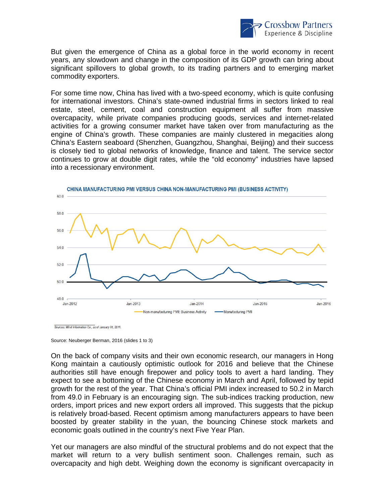

But given the emergence of China as a global force in the world economy in recent years, any slowdown and change in the composition of its GDP growth can bring about significant spillovers to global growth, to its trading partners and to emerging market commodity exporters.

For some time now, China has lived with a two-speed economy, which is quite confusing for international investors. China's state-owned industrial firms in sectors linked to real estate, steel, cement, coal and construction equipment all suffer from massive overcapacity, while private companies producing goods, services and internet-related activities for a growing consumer market have taken over from manufacturing as the engine of China's growth. These companies are mainly clustered in megacities along China's Eastern seaboard (Shenzhen, Guangzhou, Shanghai, Beijing) and their success is closely tied to global networks of knowledge, finance and talent. The service sector continues to grow at double digit rates, while the "old economy" industries have lapsed into a recessionary environment.



Sources: Wind Information Co., as of January 31, 2016

Source: Neuberger Berman, 2016 (slides 1 to 3)

On the back of company visits and their own economic research, our managers in Hong Kong maintain a cautiously optimistic outlook for 2016 and believe that the Chinese authorities still have enough firepower and policy tools to avert a hard landing. They expect to see a bottoming of the Chinese economy in March and April, followed by tepid growth for the rest of the year. That China's official PMI index increased to 50.2 in March from 49.0 in February is an encouraging sign. The sub-indices tracking production, new orders, import prices and new export orders all improved. This suggests that the pickup is relatively broad-based. Recent optimism among manufacturers appears to have been boosted by greater stability in the yuan, the bouncing Chinese stock markets and economic goals outlined in the country's next Five Year Plan.

Yet our managers are also mindful of the structural problems and do not expect that the market will return to a very bullish sentiment soon. Challenges remain, such as overcapacity and high debt. Weighing down the economy is significant overcapacity in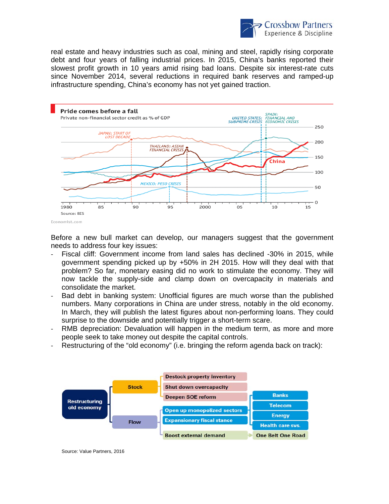

real estate and heavy industries such as coal, mining and steel, rapidly rising corporate debt and four years of falling industrial prices. In 2015, China's banks reported their slowest profit growth in 10 years amid rising bad loans. Despite six interest-rate cuts since November 2014, several reductions in required bank reserves and ramped-up infrastructure spending, China's economy has not yet gained traction.



Before a new bull market can develop, our managers suggest that the government needs to address four key issues:

- Fiscal cliff: Government income from land sales has declined -30% in 2015, while government spending picked up by +50% in 2H 2015. How will they deal with that problem? So far, monetary easing did no work to stimulate the economy. They will now tackle the supply-side and clamp down on overcapacity in materials and consolidate the market.
- Bad debt in banking system: Unofficial figures are much worse than the published numbers. Many corporations in China are under stress, notably in the old economy. In March, they will publish the latest figures about non-performing loans. They could surprise to the downside and potentially trigger a short-term scare.
- RMB depreciation: Devaluation will happen in the medium term, as more and more people seek to take money out despite the capital controls.
- Restructuring of the "old economy" (i.e. bringing the reform agenda back on track):



Source: Value Partners, 2016